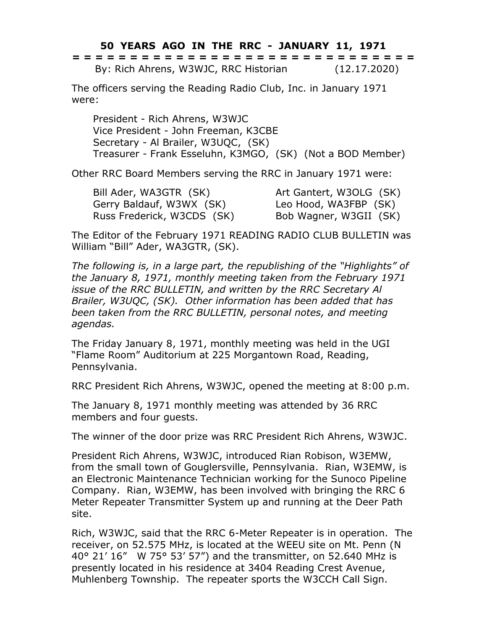## **50 YEARS AGO IN THE RRC - JANUARY 11, 1971**

**= = = = = = = = = = = = = = = = = = = = = = = = = = = = = =** By: Rich Ahrens, W3WJC, RRC Historian (12.17.2020)

The officers serving the Reading Radio Club, Inc. in January 1971 were:

President - Rich Ahrens, W3WJC Vice President - John Freeman, K3CBE Secretary - Al Brailer, W3UQC, (SK) Treasurer - Frank Esseluhn, K3MGO, (SK) (Not a BOD Member)

Other RRC Board Members serving the RRC in January 1971 were:

Bill Ader, WA3GTR (SK) Art Gantert, W3OLG (SK) Gerry Baldauf, W3WX (SK) Leo Hood, WA3FBP (SK) Russ Frederick, W3CDS (SK) Bob Wagner, W3GII (SK)

The Editor of the February 1971 READING RADIO CLUB BULLETIN was William "Bill" Ader, WA3GTR, (SK).

*The following is, in a large part, the republishing of the "Highlights" of the January 8, 1971, monthly meeting taken from the February 1971 issue of the RRC BULLETIN, and written by the RRC Secretary Al Brailer, W3UQC, (SK). Other information has been added that has been taken from the RRC BULLETIN, personal notes, and meeting agendas.*

The Friday January 8, 1971, monthly meeting was held in the UGI "Flame Room" Auditorium at 225 Morgantown Road, Reading, Pennsylvania.

RRC President Rich Ahrens, W3WJC, opened the meeting at 8:00 p.m.

The January 8, 1971 monthly meeting was attended by 36 RRC members and four guests.

The winner of the door prize was RRC President Rich Ahrens, W3WJC.

President Rich Ahrens, W3WJC, introduced Rian Robison, W3EMW, from the small town of Gouglersville, Pennsylvania. Rian, W3EMW, is an Electronic Maintenance Technician working for the Sunoco Pipeline Company. Rian, W3EMW, has been involved with bringing the RRC 6 Meter Repeater Transmitter System up and running at the Deer Path site.

Rich, W3WJC, said that the RRC 6-Meter Repeater is in operation. The receiver, on 52.575 MHz, is located at the WEEU site on Mt. Penn (N 40° 21' 16" W 75° 53' 57") and the transmitter, on 52.640 MHz is presently located in his residence at 3404 Reading Crest Avenue, Muhlenberg Township. The repeater sports the W3CCH Call Sign.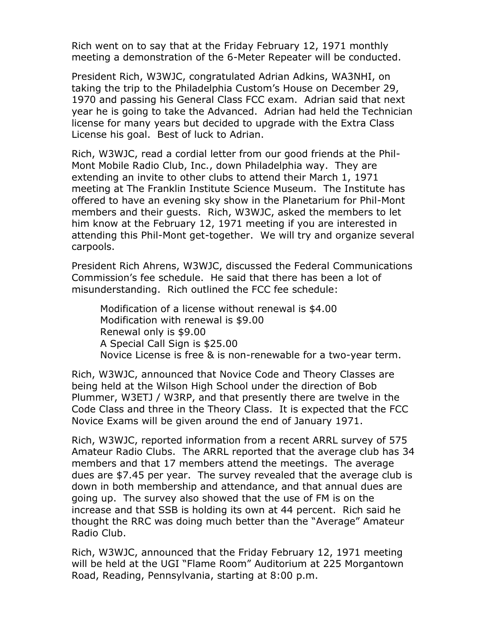Rich went on to say that at the Friday February 12, 1971 monthly meeting a demonstration of the 6-Meter Repeater will be conducted.

President Rich, W3WJC, congratulated Adrian Adkins, WA3NHI, on taking the trip to the Philadelphia Custom's House on December 29, 1970 and passing his General Class FCC exam. Adrian said that next year he is going to take the Advanced. Adrian had held the Technician license for many years but decided to upgrade with the Extra Class License his goal. Best of luck to Adrian.

Rich, W3WJC, read a cordial letter from our good friends at the Phil-Mont Mobile Radio Club, Inc., down Philadelphia way. They are extending an invite to other clubs to attend their March 1, 1971 meeting at The Franklin Institute Science Museum. The Institute has offered to have an evening sky show in the Planetarium for Phil-Mont members and their guests. Rich, W3WJC, asked the members to let him know at the February 12, 1971 meeting if you are interested in attending this Phil-Mont get-together. We will try and organize several carpools.

President Rich Ahrens, W3WJC, discussed the Federal Communications Commission's fee schedule. He said that there has been a lot of misunderstanding. Rich outlined the FCC fee schedule:

Modification of a license without renewal is \$4.00 Modification with renewal is \$9.00 Renewal only is \$9.00 A Special Call Sign is \$25.00 Novice License is free & is non-renewable for a two-year term.

Rich, W3WJC, announced that Novice Code and Theory Classes are being held at the Wilson High School under the direction of Bob Plummer, W3ETJ / W3RP, and that presently there are twelve in the Code Class and three in the Theory Class. It is expected that the FCC Novice Exams will be given around the end of January 1971.

Rich, W3WJC, reported information from a recent ARRL survey of 575 Amateur Radio Clubs. The ARRL reported that the average club has 34 members and that 17 members attend the meetings. The average dues are \$7.45 per year. The survey revealed that the average club is down in both membership and attendance, and that annual dues are going up. The survey also showed that the use of FM is on the increase and that SSB is holding its own at 44 percent. Rich said he thought the RRC was doing much better than the "Average" Amateur Radio Club.

Rich, W3WJC, announced that the Friday February 12, 1971 meeting will be held at the UGI "Flame Room" Auditorium at 225 Morgantown Road, Reading, Pennsylvania, starting at 8:00 p.m.